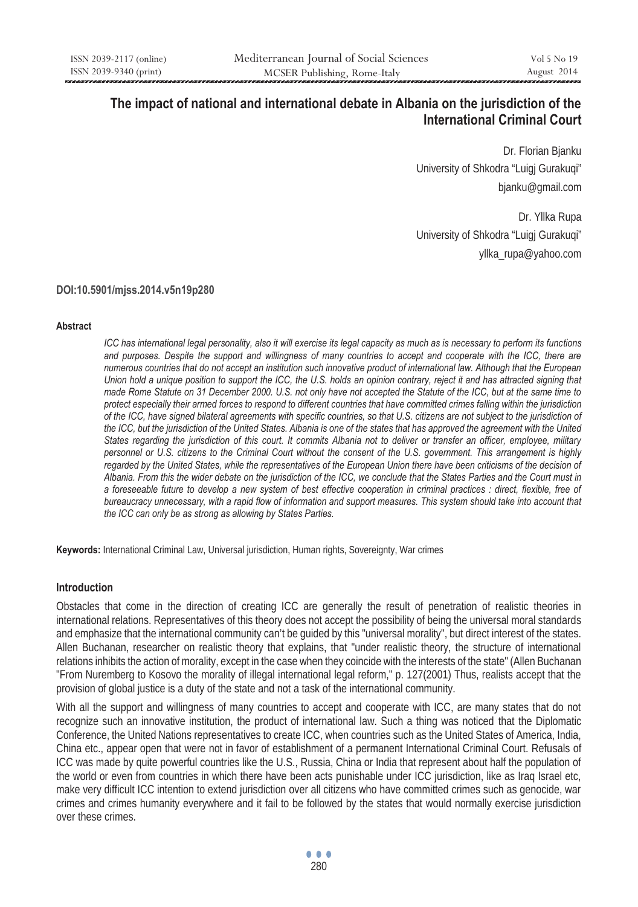# **The impact of national and international debate in Albania on the jurisdiction of the International Criminal Court**

Dr. Florian Bjanku University of Shkodra "Luigj Gurakuqi" bjanku@gmail.com

Dr. Yllka Rupa University of Shkodra "Luigj Gurakuqi" yllka\_rupa@yahoo.com

#### **DOI:10.5901/mjss.2014.v5n19p280**

#### **Abstract**

*ICC has international legal personality, also it will exercise its legal capacity as much as is necessary to perform its functions and purposes. Despite the support and willingness of many countries to accept and cooperate with the ICC, there are numerous countries that do not accept an institution such innovative product of international law. Although that the European Union hold a unique position to support the ICC, the U.S. holds an opinion contrary, reject it and has attracted signing that made Rome Statute on 31 December 2000. U.S. not only have not accepted the Statute of the ICC, but at the same time to protect especially their armed forces to respond to different countries that have committed crimes falling within the jurisdiction of the ICC, have signed bilateral agreements with specific countries, so that U.S. citizens are not subject to the jurisdiction of the ICC, but the jurisdiction of the United States. Albania is one of the states that has approved the agreement with the United States regarding the jurisdiction of this court. It commits Albania not to deliver or transfer an officer, employee, military personnel or U.S. citizens to the Criminal Court without the consent of the U.S. government. This arrangement is highly regarded by the United States, while the representatives of the European Union there have been criticisms of the decision of Albania. From this the wider debate on the jurisdiction of the ICC, we conclude that the States Parties and the Court must in a foreseeable future to develop a new system of best effective cooperation in criminal practices : direct, flexible, free of bureaucracy unnecessary, with a rapid flow of information and support measures. This system should take into account that the ICC can only be as strong as allowing by States Parties.* 

**Keywords:** International Criminal Law, Universal jurisdiction, Human rights, Sovereignty, War crimes

#### **Introduction**

Obstacles that come in the direction of creating ICC are generally the result of penetration of realistic theories in international relations. Representatives of this theory does not accept the possibility of being the universal moral standards and emphasize that the international community can't be guided by this "universal morality", but direct interest of the states. Allen Buchanan, researcher on realistic theory that explains, that "under realistic theory, the structure of international relations inhibits the action of morality, except in the case when they coincide with the interests of the state" (Allen Buchanan "From Nuremberg to Kosovo the morality of illegal international legal reform," p. 127(2001) Thus, realists accept that the provision of global justice is a duty of the state and not a task of the international community.

With all the support and willingness of many countries to accept and cooperate with ICC, are many states that do not recognize such an innovative institution, the product of international law. Such a thing was noticed that the Diplomatic Conference, the United Nations representatives to create ICC, when countries such as the United States of America, India, China etc., appear open that were not in favor of establishment of a permanent International Criminal Court. Refusals of ICC was made by quite powerful countries like the U.S., Russia, China or India that represent about half the population of the world or even from countries in which there have been acts punishable under ICC jurisdiction, like as Iraq Israel etc, make very difficult ICC intention to extend jurisdiction over all citizens who have committed crimes such as genocide, war crimes and crimes humanity everywhere and it fail to be followed by the states that would normally exercise jurisdiction over these crimes.

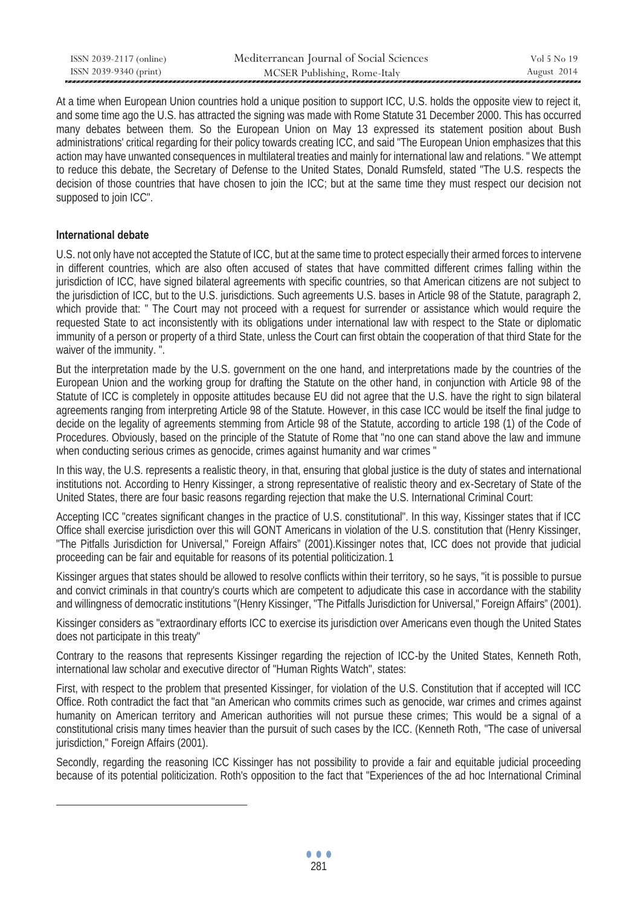| ISSN 2039-2117 (online) | Mediterranean Journal of Social Sciences | Vol 5 No 19 |
|-------------------------|------------------------------------------|-------------|
| ISSN 2039-9340 (print)  | MCSER Publishing, Rome-Italy             | August 2014 |

At a time when European Union countries hold a unique position to support ICC, U.S. holds the opposite view to reject it, and some time ago the U.S. has attracted the signing was made with Rome Statute 31 December 2000. This has occurred many debates between them. So the European Union on May 13 expressed its statement position about Bush administrations' critical regarding for their policy towards creating ICC, and said "The European Union emphasizes that this action may have unwanted consequences in multilateral treaties and mainly for international law and relations. " We attempt to reduce this debate, the Secretary of Defense to the United States, Donald Rumsfeld, stated "The U.S. respects the decision of those countries that have chosen to join the ICC; but at the same time they must respect our decision not supposed to join ICC".

### **International debate**

 $\overline{a}$ 

U.S. not only have not accepted the Statute of ICC, but at the same time to protect especially their armed forces to intervene in different countries, which are also often accused of states that have committed different crimes falling within the jurisdiction of ICC, have signed bilateral agreements with specific countries, so that American citizens are not subject to the jurisdiction of ICC, but to the U.S. jurisdictions. Such agreements U.S. bases in Article 98 of the Statute, paragraph 2, which provide that: " The Court may not proceed with a request for surrender or assistance which would require the requested State to act inconsistently with its obligations under international law with respect to the State or diplomatic immunity of a person or property of a third State, unless the Court can first obtain the cooperation of that third State for the waiver of the immunity. ".

But the interpretation made by the U.S. government on the one hand, and interpretations made by the countries of the European Union and the working group for drafting the Statute on the other hand, in conjunction with Article 98 of the Statute of ICC is completely in opposite attitudes because EU did not agree that the U.S. have the right to sign bilateral agreements ranging from interpreting Article 98 of the Statute. However, in this case ICC would be itself the final judge to decide on the legality of agreements stemming from Article 98 of the Statute, according to article 198 (1) of the Code of Procedures. Obviously, based on the principle of the Statute of Rome that "no one can stand above the law and immune when conducting serious crimes as genocide, crimes against humanity and war crimes "

In this way, the U.S. represents a realistic theory, in that, ensuring that global justice is the duty of states and international institutions not. According to Henry Kissinger, a strong representative of realistic theory and ex-Secretary of State of the United States, there are four basic reasons regarding rejection that make the U.S. International Criminal Court:

Accepting ICC "creates significant changes in the practice of U.S. constitutional". In this way, Kissinger states that if ICC Office shall exercise jurisdiction over this will GONT Americans in violation of the U.S. constitution that (Henry Kissinger, "The Pitfalls Jurisdiction for Universal," Foreign Affairs" (2001).Kissinger notes that, ICC does not provide that judicial proceeding can be fair and equitable for reasons of its potential politicization. 1

Kissinger argues that states should be allowed to resolve conflicts within their territory, so he says, "it is possible to pursue and convict criminals in that country's courts which are competent to adjudicate this case in accordance with the stability and willingness of democratic institutions "(Henry Kissinger, "The Pitfalls Jurisdiction for Universal," Foreign Affairs" (2001).

Kissinger considers as "extraordinary efforts ICC to exercise its jurisdiction over Americans even though the United States does not participate in this treaty"

Contrary to the reasons that represents Kissinger regarding the rejection of ICC-by the United States, Kenneth Roth, international law scholar and executive director of "Human Rights Watch", states:

First, with respect to the problem that presented Kissinger, for violation of the U.S. Constitution that if accepted will ICC Office. Roth contradict the fact that "an American who commits crimes such as genocide, war crimes and crimes against humanity on American territory and American authorities will not pursue these crimes; This would be a signal of a constitutional crisis many times heavier than the pursuit of such cases by the ICC. (Kenneth Roth, "The case of universal jurisdiction," Foreign Affairs (2001).

Secondly, regarding the reasoning ICC Kissinger has not possibility to provide a fair and equitable judicial proceeding because of its potential politicization. Roth's opposition to the fact that "Experiences of the ad hoc International Criminal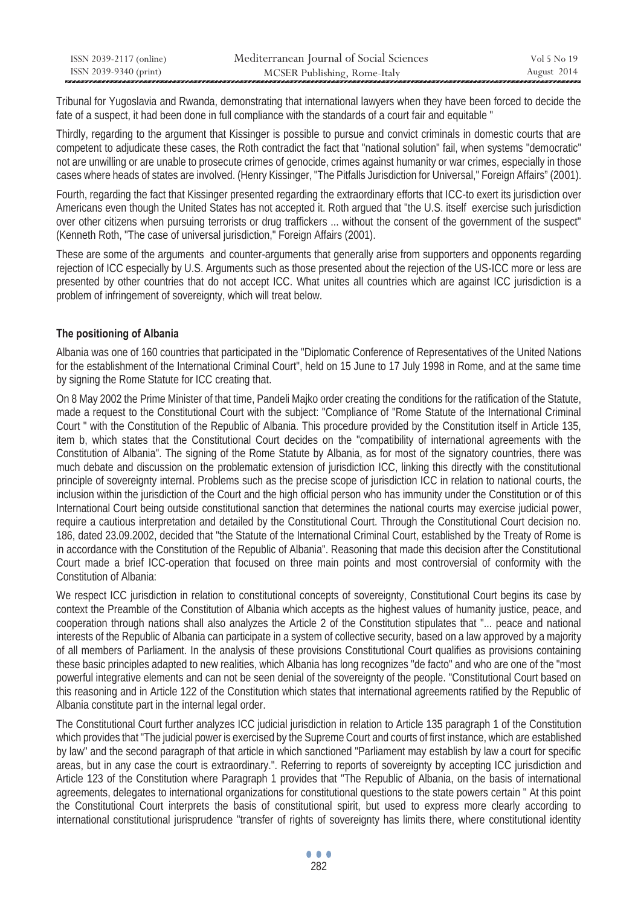| ISSN 2039-2117 (online) | Mediterranean Journal of Social Sciences | Vol 5 No 19 |
|-------------------------|------------------------------------------|-------------|
| ISSN 2039-9340 (print)  | MCSER Publishing, Rome-Italy             | August 2014 |

Tribunal for Yugoslavia and Rwanda, demonstrating that international lawyers when they have been forced to decide the fate of a suspect, it had been done in full compliance with the standards of a court fair and equitable "

Thirdly, regarding to the argument that Kissinger is possible to pursue and convict criminals in domestic courts that are competent to adjudicate these cases, the Roth contradict the fact that "national solution" fail, when systems "democratic" not are unwilling or are unable to prosecute crimes of genocide, crimes against humanity or war crimes, especially in those cases where heads of states are involved. (Henry Kissinger, "The Pitfalls Jurisdiction for Universal," Foreign Affairs" (2001).

Fourth, regarding the fact that Kissinger presented regarding the extraordinary efforts that ICC-to exert its jurisdiction over Americans even though the United States has not accepted it. Roth argued that "the U.S. itself exercise such jurisdiction over other citizens when pursuing terrorists or drug traffickers ... without the consent of the government of the suspect" (Kenneth Roth, "The case of universal jurisdiction," Foreign Affairs (2001).

These are some of the arguments and counter-arguments that generally arise from supporters and opponents regarding rejection of ICC especially by U.S. Arguments such as those presented about the rejection of the US-ICC more or less are presented by other countries that do not accept ICC. What unites all countries which are against ICC jurisdiction is a problem of infringement of sovereignty, which will treat below.

# **The positioning of Albania**

Albania was one of 160 countries that participated in the "Diplomatic Conference of Representatives of the United Nations for the establishment of the International Criminal Court", held on 15 June to 17 July 1998 in Rome, and at the same time by signing the Rome Statute for ICC creating that.

On 8 May 2002 the Prime Minister of that time, Pandeli Majko order creating the conditions for the ratification of the Statute, made a request to the Constitutional Court with the subject: "Compliance of "Rome Statute of the International Criminal Court " with the Constitution of the Republic of Albania. This procedure provided by the Constitution itself in Article 135, item b, which states that the Constitutional Court decides on the "compatibility of international agreements with the Constitution of Albania". The signing of the Rome Statute by Albania, as for most of the signatory countries, there was much debate and discussion on the problematic extension of jurisdiction ICC, linking this directly with the constitutional principle of sovereignty internal. Problems such as the precise scope of jurisdiction ICC in relation to national courts, the inclusion within the jurisdiction of the Court and the high official person who has immunity under the Constitution or of this International Court being outside constitutional sanction that determines the national courts may exercise judicial power, require a cautious interpretation and detailed by the Constitutional Court. Through the Constitutional Court decision no. 186, dated 23.09.2002, decided that "the Statute of the International Criminal Court, established by the Treaty of Rome is in accordance with the Constitution of the Republic of Albania". Reasoning that made this decision after the Constitutional Court made a brief ICC-operation that focused on three main points and most controversial of conformity with the Constitution of Albania:

We respect ICC jurisdiction in relation to constitutional concepts of sovereignty, Constitutional Court begins its case by context the Preamble of the Constitution of Albania which accepts as the highest values of humanity justice, peace, and cooperation through nations shall also analyzes the Article 2 of the Constitution stipulates that "... peace and national interests of the Republic of Albania can participate in a system of collective security, based on a law approved by a majority of all members of Parliament. In the analysis of these provisions Constitutional Court qualifies as provisions containing these basic principles adapted to new realities, which Albania has long recognizes "de facto" and who are one of the "most powerful integrative elements and can not be seen denial of the sovereignty of the people. "Constitutional Court based on this reasoning and in Article 122 of the Constitution which states that international agreements ratified by the Republic of Albania constitute part in the internal legal order.

The Constitutional Court further analyzes ICC judicial jurisdiction in relation to Article 135 paragraph 1 of the Constitution which provides that "The judicial power is exercised by the Supreme Court and courts of first instance, which are established by law" and the second paragraph of that article in which sanctioned "Parliament may establish by law a court for specific areas, but in any case the court is extraordinary.". Referring to reports of sovereignty by accepting ICC jurisdiction and Article 123 of the Constitution where Paragraph 1 provides that "The Republic of Albania, on the basis of international agreements, delegates to international organizations for constitutional questions to the state powers certain " At this point the Constitutional Court interprets the basis of constitutional spirit, but used to express more clearly according to international constitutional jurisprudence "transfer of rights of sovereignty has limits there, where constitutional identity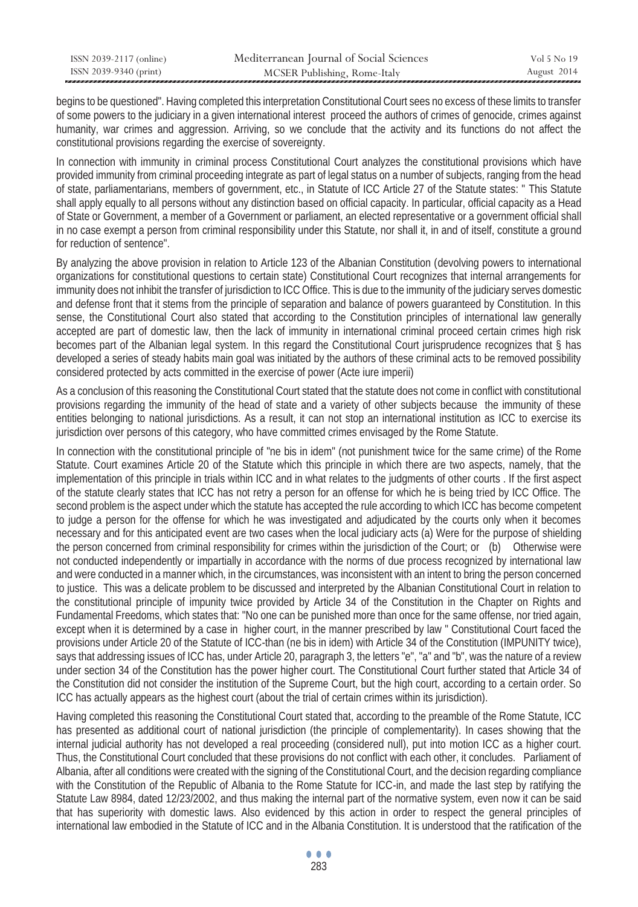| ISSN 2039-2117 (online) | Mediterranean Journal of Social Sciences | Vol 5 No 19 |
|-------------------------|------------------------------------------|-------------|
| ISSN 2039-9340 (print)  | MCSER Publishing, Rome-Italy             | August 2014 |

begins to be questioned". Having completed this interpretation Constitutional Court sees no excess of these limits to transfer of some powers to the judiciary in a given international interest proceed the authors of crimes of genocide, crimes against humanity, war crimes and aggression. Arriving, so we conclude that the activity and its functions do not affect the constitutional provisions regarding the exercise of sovereignty.

In connection with immunity in criminal process Constitutional Court analyzes the constitutional provisions which have provided immunity from criminal proceeding integrate as part of legal status on a number of subjects, ranging from the head of state, parliamentarians, members of government, etc., in Statute of ICC Article 27 of the Statute states: " This Statute shall apply equally to all persons without any distinction based on official capacity. In particular, official capacity as a Head of State or Government, a member of a Government or parliament, an elected representative or a government official shall in no case exempt a person from criminal responsibility under this Statute, nor shall it, in and of itself, constitute a ground for reduction of sentence".

By analyzing the above provision in relation to Article 123 of the Albanian Constitution (devolving powers to international organizations for constitutional questions to certain state) Constitutional Court recognizes that internal arrangements for immunity does not inhibit the transfer of jurisdiction to ICC Office. This is due to the immunity of the judiciary serves domestic and defense front that it stems from the principle of separation and balance of powers guaranteed by Constitution. In this sense, the Constitutional Court also stated that according to the Constitution principles of international law generally accepted are part of domestic law, then the lack of immunity in international criminal proceed certain crimes high risk becomes part of the Albanian legal system. In this regard the Constitutional Court jurisprudence recognizes that § has developed a series of steady habits main goal was initiated by the authors of these criminal acts to be removed possibility considered protected by acts committed in the exercise of power (Acte iure imperii)

As a conclusion of this reasoning the Constitutional Court stated that the statute does not come in conflict with constitutional provisions regarding the immunity of the head of state and a variety of other subjects because the immunity of these entities belonging to national jurisdictions. As a result, it can not stop an international institution as ICC to exercise its jurisdiction over persons of this category, who have committed crimes envisaged by the Rome Statute.

In connection with the constitutional principle of "ne bis in idem" (not punishment twice for the same crime) of the Rome Statute. Court examines Article 20 of the Statute which this principle in which there are two aspects, namely, that the implementation of this principle in trials within ICC and in what relates to the judgments of other courts . If the first aspect of the statute clearly states that ICC has not retry a person for an offense for which he is being tried by ICC Office. The second problem is the aspect under which the statute has accepted the rule according to which ICC has become competent to judge a person for the offense for which he was investigated and adjudicated by the courts only when it becomes necessary and for this anticipated event are two cases when the local judiciary acts (a) Were for the purpose of shielding the person concerned from criminal responsibility for crimes within the jurisdiction of the Court; or (b) Otherwise were not conducted independently or impartially in accordance with the norms of due process recognized by international law and were conducted in a manner which, in the circumstances, was inconsistent with an intent to bring the person concerned to justice. This was a delicate problem to be discussed and interpreted by the Albanian Constitutional Court in relation to the constitutional principle of impunity twice provided by Article 34 of the Constitution in the Chapter on Rights and Fundamental Freedoms, which states that: "No one can be punished more than once for the same offense, nor tried again, except when it is determined by a case in higher court, in the manner prescribed by law " Constitutional Court faced the provisions under Article 20 of the Statute of ICC-than (ne bis in idem) with Article 34 of the Constitution (IMPUNITY twice), says that addressing issues of ICC has, under Article 20, paragraph 3, the letters "e", "a" and "b", was the nature of a review under section 34 of the Constitution has the power higher court. The Constitutional Court further stated that Article 34 of the Constitution did not consider the institution of the Supreme Court, but the high court, according to a certain order. So ICC has actually appears as the highest court (about the trial of certain crimes within its jurisdiction).

Having completed this reasoning the Constitutional Court stated that, according to the preamble of the Rome Statute, ICC has presented as additional court of national jurisdiction (the principle of complementarity). In cases showing that the internal judicial authority has not developed a real proceeding (considered null), put into motion ICC as a higher court. Thus, the Constitutional Court concluded that these provisions do not conflict with each other, it concludes. Parliament of Albania, after all conditions were created with the signing of the Constitutional Court, and the decision regarding compliance with the Constitution of the Republic of Albania to the Rome Statute for ICC-in, and made the last step by ratifying the Statute Law 8984, dated 12/23/2002, and thus making the internal part of the normative system, even now it can be said that has superiority with domestic laws. Also evidenced by this action in order to respect the general principles of international law embodied in the Statute of ICC and in the Albania Constitution. It is understood that the ratification of the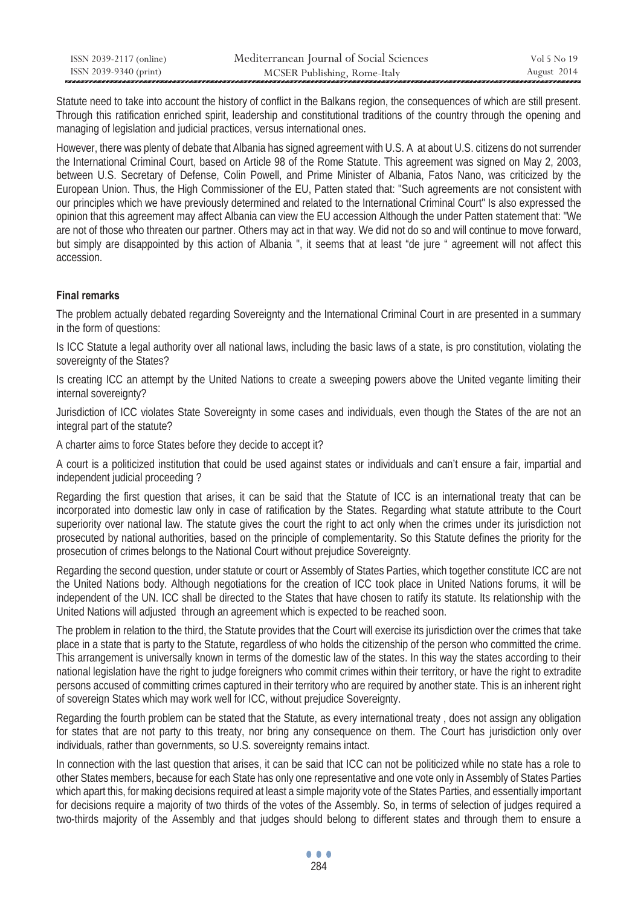| ISSN 2039-2117 (online) | Mediterranean Journal of Social Sciences | Vol 5 No 19 |
|-------------------------|------------------------------------------|-------------|
| ISSN 2039-9340 (print)  | MCSER Publishing, Rome-Italy             | August 2014 |

Statute need to take into account the history of conflict in the Balkans region, the consequences of which are still present. Through this ratification enriched spirit, leadership and constitutional traditions of the country through the opening and managing of legislation and judicial practices, versus international ones.

However, there was plenty of debate that Albania has signed agreement with U.S. A at about U.S. citizens do not surrender the International Criminal Court, based on Article 98 of the Rome Statute. This agreement was signed on May 2, 2003, between U.S. Secretary of Defense, Colin Powell, and Prime Minister of Albania, Fatos Nano, was criticized by the European Union. Thus, the High Commissioner of the EU, Patten stated that: "Such agreements are not consistent with our principles which we have previously determined and related to the International Criminal Court" Is also expressed the opinion that this agreement may affect Albania can view the EU accession Although the under Patten statement that: "We are not of those who threaten our partner. Others may act in that way. We did not do so and will continue to move forward, but simply are disappointed by this action of Albania ", it seems that at least "de jure " agreement will not affect this accession.

## **Final remarks**

The problem actually debated regarding Sovereignty and the International Criminal Court in are presented in a summary in the form of questions:

Is ICC Statute a legal authority over all national laws, including the basic laws of a state, is pro constitution, violating the sovereignty of the States?

Is creating ICC an attempt by the United Nations to create a sweeping powers above the United vegante limiting their internal sovereignty?

Jurisdiction of ICC violates State Sovereignty in some cases and individuals, even though the States of the are not an integral part of the statute?

A charter aims to force States before they decide to accept it?

A court is a politicized institution that could be used against states or individuals and can't ensure a fair, impartial and independent judicial proceeding ?

Regarding the first question that arises, it can be said that the Statute of ICC is an international treaty that can be incorporated into domestic law only in case of ratification by the States. Regarding what statute attribute to the Court superiority over national law. The statute gives the court the right to act only when the crimes under its jurisdiction not prosecuted by national authorities, based on the principle of complementarity. So this Statute defines the priority for the prosecution of crimes belongs to the National Court without prejudice Sovereignty.

Regarding the second question, under statute or court or Assembly of States Parties, which together constitute ICC are not the United Nations body. Although negotiations for the creation of ICC took place in United Nations forums, it will be independent of the UN. ICC shall be directed to the States that have chosen to ratify its statute. Its relationship with the United Nations will adjusted through an agreement which is expected to be reached soon.

The problem in relation to the third, the Statute provides that the Court will exercise its jurisdiction over the crimes that take place in a state that is party to the Statute, regardless of who holds the citizenship of the person who committed the crime. This arrangement is universally known in terms of the domestic law of the states. In this way the states according to their national legislation have the right to judge foreigners who commit crimes within their territory, or have the right to extradite persons accused of committing crimes captured in their territory who are required by another state. This is an inherent right of sovereign States which may work well for ICC, without prejudice Sovereignty.

Regarding the fourth problem can be stated that the Statute, as every international treaty , does not assign any obligation for states that are not party to this treaty, nor bring any consequence on them. The Court has jurisdiction only over individuals, rather than governments, so U.S. sovereignty remains intact.

In connection with the last question that arises, it can be said that ICC can not be politicized while no state has a role to other States members, because for each State has only one representative and one vote only in Assembly of States Parties which apart this, for making decisions required at least a simple majority vote of the States Parties, and essentially important for decisions require a majority of two thirds of the votes of the Assembly. So, in terms of selection of judges required a two-thirds majority of the Assembly and that judges should belong to different states and through them to ensure a